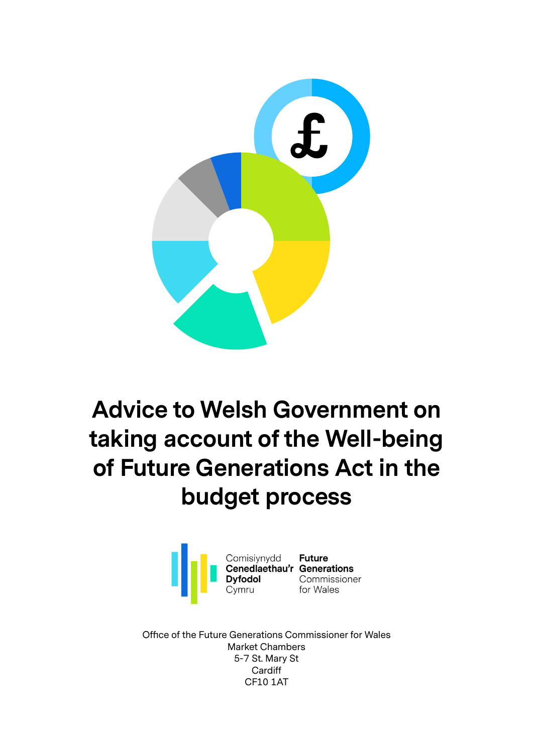

# **Advice to Welsh Government on taking account of the Well-being of Future Generations Act in the budget process**



Office of the Future Generations Commissioner for Wales Market Chambers 5-7 St. Mary St **Cardiff** CF10 1AT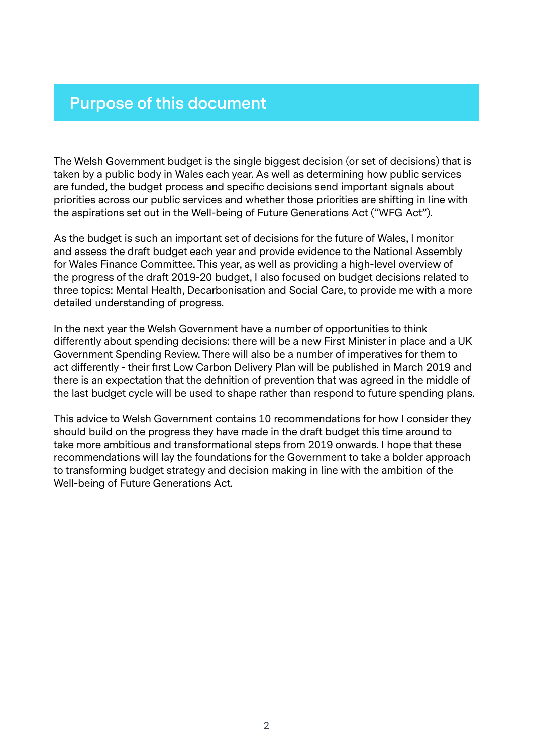# **Purpose of this document**

The Welsh Government budget is the single biggest decision (or set of decisions) that is taken by a public body in Wales each year. As well as determining how public services are funded, the budget process and specific decisions send important signals about priorities across our public services and whether those priorities are shifting in line with the aspirations set out in the Well-being of Future Generations Act ("WFG Act").

As the budget is such an important set of decisions for the future of Wales, I monitor and assess the draft budget each year and provide evidence to the National Assembly for Wales Finance Committee. This year, as well as providing a high-level overview of the progress of the draft 2019-20 budget, I also focused on budget decisions related to three topics: Mental Health, Decarbonisation and Social Care, to provide me with a more detailed understanding of progress.

In the next year the Welsh Government have a number of opportunities to think differently about spending decisions: there will be a new First Minister in place and a UK Government Spending Review. There will also be a number of imperatives for them to act differently - their first Low Carbon Delivery Plan will be published in March 2019 and there is an expectation that the definition of prevention that was agreed in the middle of the last budget cycle will be used to shape rather than respond to future spending plans.

This advice to Welsh Government contains 10 recommendations for how I consider they should build on the progress they have made in the draft budget this time around to take more ambitious and transformational steps from 2019 onwards. I hope that these recommendations will lay the foundations for the Government to take a bolder approach to transforming budget strategy and decision making in line with the ambition of the Well-being of Future Generations Act.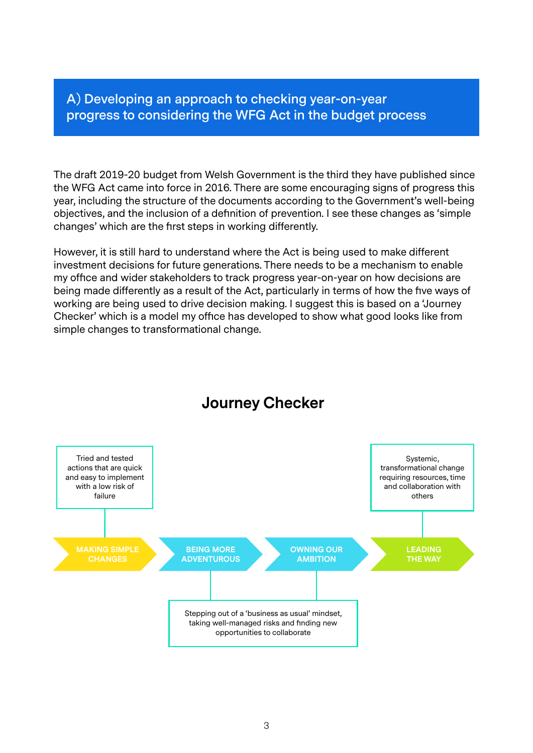**A) Developing an approach to checking year-on-year progress to considering the WFG Act in the budget process**

The draft 2019-20 budget from Welsh Government is the third they have published since the WFG Act came into force in 2016. There are some encouraging signs of progress this year, including the structure of the documents according to the Government's well-being objectives, and the inclusion of a definition of prevention. I see these changes as 'simple changes' which are the first steps in working differently.

However, it is still hard to understand where the Act is being used to make different investment decisions for future generations. There needs to be a mechanism to enable my office and wider stakeholders to track progress year-on-year on how decisions are being made differently as a result of the Act, particularly in terms of how the five ways of working are being used to drive decision making. I suggest this is based on a 'Journey Checker' which is a model my office has developed to show what good looks like from simple changes to transformational change.



# **Journey Checker**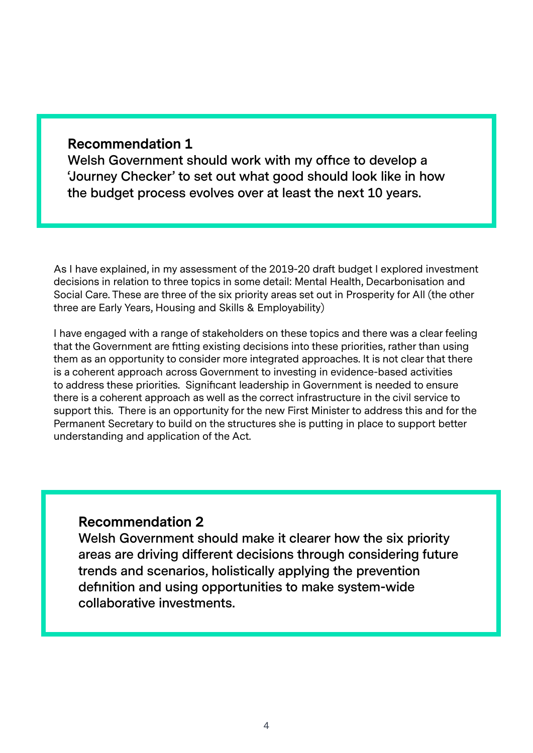#### **Recommendation 1**

**Welsh Government should work with my office to develop a 'Journey Checker' to set out what good should look like in how the budget process evolves over at least the next 10 years.** 

As I have explained, in my assessment of the 2019-20 draft budget I explored investment decisions in relation to three topics in some detail: Mental Health, Decarbonisation and Social Care. These are three of the six priority areas set out in Prosperity for All (the other three are Early Years, Housing and Skills & Employability)

I have engaged with a range of stakeholders on these topics and there was a clear feeling that the Government are fitting existing decisions into these priorities, rather than using them as an opportunity to consider more integrated approaches. It is not clear that there is a coherent approach across Government to investing in evidence-based activities to address these priorities. Significant leadership in Government is needed to ensure there is a coherent approach as well as the correct infrastructure in the civil service to support this. There is an opportunity for the new First Minister to address this and for the Permanent Secretary to build on the structures she is putting in place to support better understanding and application of the Act.

#### **Recommendation 2**

**Welsh Government should make it clearer how the six priority areas are driving different decisions through considering future trends and scenarios, holistically applying the prevention definition and using opportunities to make system-wide collaborative investments.**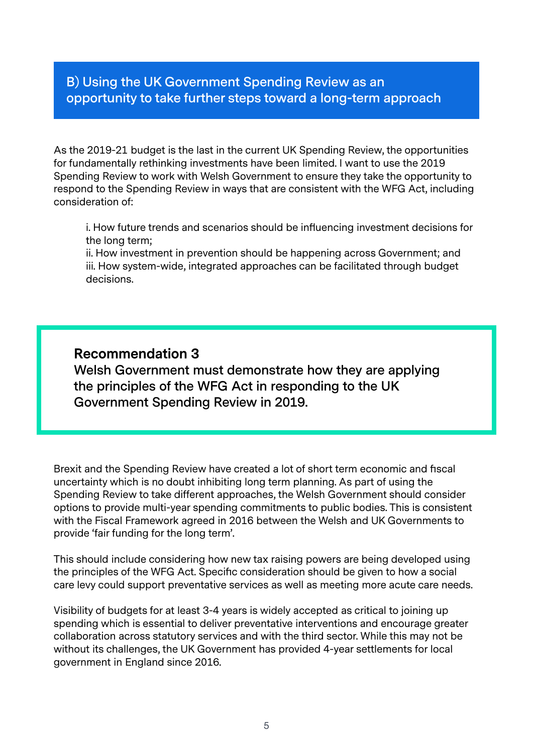# **B) Using the UK Government Spending Review as an opportunity to take further steps toward a long-term approach**

As the 2019-21 budget is the last in the current UK Spending Review, the opportunities for fundamentally rethinking investments have been limited. I want to use the 2019 Spending Review to work with Welsh Government to ensure they take the opportunity to respond to the Spending Review in ways that are consistent with the WFG Act, including consideration of:

i. How future trends and scenarios should be influencing investment decisions for the long term;

ii. How investment in prevention should be happening across Government; and iii. How system-wide, integrated approaches can be facilitated through budget decisions.

# **Recommendation 3**

**Welsh Government must demonstrate how they are applying the principles of the WFG Act in responding to the UK Government Spending Review in 2019.** 

Brexit and the Spending Review have created a lot of short term economic and fiscal uncertainty which is no doubt inhibiting long term planning. As part of using the Spending Review to take different approaches, the Welsh Government should consider options to provide multi-year spending commitments to public bodies. This is consistent with the Fiscal Framework agreed in 2016 between the Welsh and UK Governments to provide 'fair funding for the long term'.

This should include considering how new tax raising powers are being developed using the principles of the WFG Act. Specific consideration should be given to how a social care levy could support preventative services as well as meeting more acute care needs.

Visibility of budgets for at least 3-4 years is widely accepted as critical to joining up spending which is essential to deliver preventative interventions and encourage greater collaboration across statutory services and with the third sector. While this may not be without its challenges, the UK Government has provided 4-year settlements for local government in England since 2016.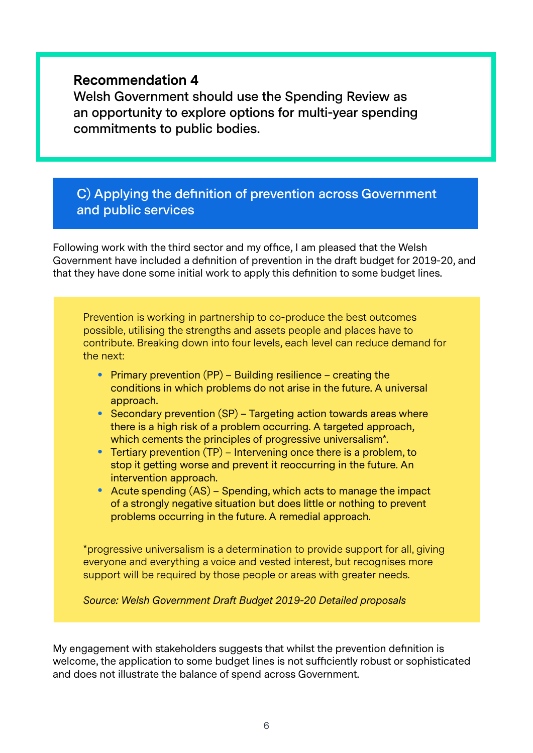#### **Recommendation 4**

**Welsh Government should use the Spending Review as an opportunity to explore options for multi-year spending commitments to public bodies.** 

## **C) Applying the definition of prevention across Government and public services**

Following work with the third sector and my office, I am pleased that the Welsh Government have included a definition of prevention in the draft budget for 2019-20, and that they have done some initial work to apply this definition to some budget lines.

Prevention is working in partnership to co-produce the best outcomes possible, utilising the strengths and assets people and places have to contribute. Breaking down into four levels, each level can reduce demand for the next:

- Primary prevention  $(PP)$  Building resilience creating the conditions in which problems do not arise in the future. A universal approach.
- Secondary prevention (SP) Targeting action towards areas where there is a high risk of a problem occurring. A targeted approach, which cements the principles of progressive universalism\*.
- Tertiary prevention (TP) Intervening once there is a problem, to stop it getting worse and prevent it reoccurring in the future. An intervention approach.
- Acute spending (AS) Spending, which acts to manage the impact of a strongly negative situation but does little or nothing to prevent problems occurring in the future. A remedial approach.

\*progressive universalism is a determination to provide support for all, giving everyone and everything a voice and vested interest, but recognises more support will be required by those people or areas with greater needs.

*Source: Welsh Government Draft Budget 2019-20 Detailed proposals*

My engagement with stakeholders suggests that whilst the prevention definition is welcome, the application to some budget lines is not sufficiently robust or sophisticated and does not illustrate the balance of spend across Government.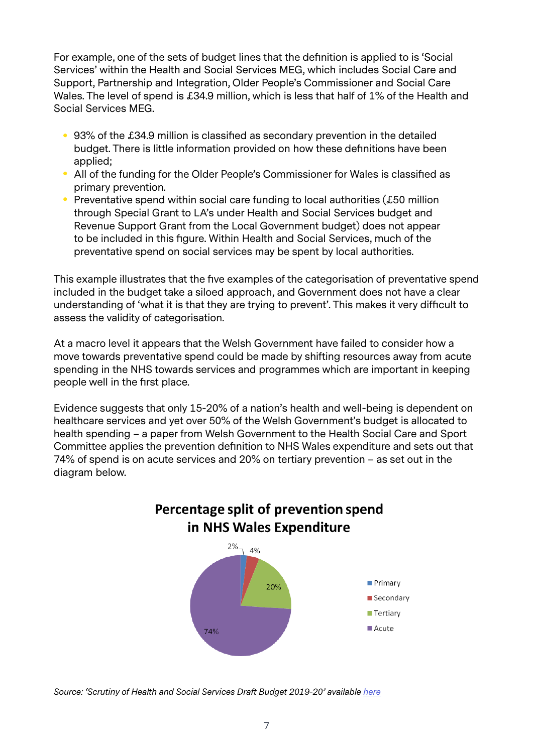For example, one of the sets of budget lines that the definition is applied to is 'Social Services' within the Health and Social Services MEG, which includes Social Care and Support, Partnership and Integration, Older People's Commissioner and Social Care Wales. The level of spend is £34.9 million, which is less that half of 1% of the Health and Social Services MEG.

- 93% of the £34.9 million is classified as secondary prevention in the detailed budget. There is little information provided on how these definitions have been applied;
- All of the funding for the Older People's Commissioner for Wales is classified as primary prevention.
- Preventative spend within social care funding to local authorities (£50 million through Special Grant to LA's under Health and Social Services budget and Revenue Support Grant from the Local Government budget) does not appear to be included in this figure. Within Health and Social Services, much of the preventative spend on social services may be spent by local authorities.

This example illustrates that the five examples of the categorisation of preventative spend included in the budget take a siloed approach, and Government does not have a clear understanding of 'what it is that they are trying to prevent'. This makes it very difficult to assess the validity of categorisation.

At a macro level it appears that the Welsh Government have failed to consider how a move towards preventative spend could be made by shifting resources away from acute spending in the NHS towards services and programmes which are important in keeping people well in the first place.

Evidence suggests that only 15-20% of a nation's health and well-being is dependent on healthcare services and yet over 50% of the Welsh Government's budget is allocated to health spending – a paper from Welsh Government to the Health Social Care and Sport Committee applies the prevention definition to NHS Wales expenditure and sets out that 74% of spend is on acute services and 20% on tertiary prevention – as set out in the diagram below.



*Source: 'Scrutiny of Health and Social Services Draft Budget 2019-20' available [here](http://senedd.assembly.wales/documents/s80209/Paper%201%20-%20Welsh%20Government.pdf)*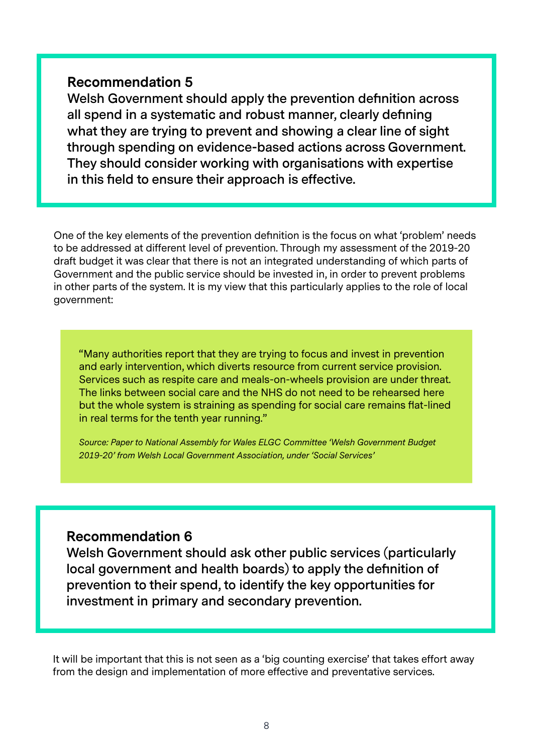#### **Recommendation 5**

**Welsh Government should apply the prevention definition across all spend in a systematic and robust manner, clearly defining what they are trying to prevent and showing a clear line of sight through spending on evidence-based actions across Government. They should consider working with organisations with expertise in this field to ensure their approach is effective.** 

One of the key elements of the prevention definition is the focus on what 'problem' needs to be addressed at different level of prevention. Through my assessment of the 2019-20 draft budget it was clear that there is not an integrated understanding of which parts of Government and the public service should be invested in, in order to prevent problems in other parts of the system. It is my view that this particularly applies to the role of local government:

"Many authorities report that they are trying to focus and invest in prevention and early intervention, which diverts resource from current service provision. Services such as respite care and meals-on-wheels provision are under threat. The links between social care and the NHS do not need to be rehearsed here but the whole system is straining as spending for social care remains flat-lined in real terms for the tenth year running."

*Source: Paper to National Assembly for Wales ELGC Committee 'Welsh Government Budget 2019-20' from Welsh Local Government Association, under 'Social Services'*

# **Recommendation 6**

**Welsh Government should ask other public services (particularly local government and health boards) to apply the definition of prevention to their spend, to identify the key opportunities for investment in primary and secondary prevention.** 

It will be important that this is not seen as a 'big counting exercise' that takes effort away from the design and implementation of more effective and preventative services.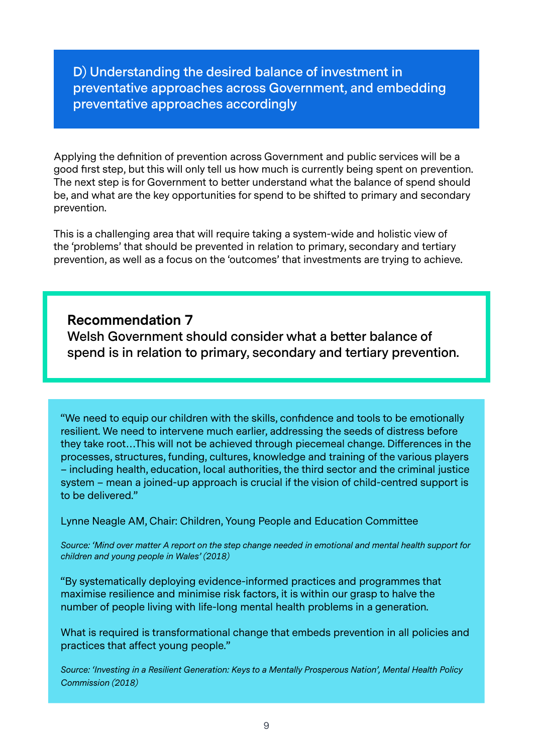**D) Understanding the desired balance of investment in preventative approaches across Government, and embedding preventative approaches accordingly**

Applying the definition of prevention across Government and public services will be a good first step, but this will only tell us how much is currently being spent on prevention. The next step is for Government to better understand what the balance of spend should be, and what are the key opportunities for spend to be shifted to primary and secondary prevention.

This is a challenging area that will require taking a system-wide and holistic view of the 'problems' that should be prevented in relation to primary, secondary and tertiary prevention, as well as a focus on the 'outcomes' that investments are trying to achieve.

**Recommendation 7 Welsh Government should consider what a better balance of spend is in relation to primary, secondary and tertiary prevention.** 

"We need to equip our children with the skills, confidence and tools to be emotionally resilient. We need to intervene much earlier, addressing the seeds of distress before they take root…This will not be achieved through piecemeal change. Differences in the processes, structures, funding, cultures, knowledge and training of the various players – including health, education, local authorities, the third sector and the criminal justice system – mean a joined-up approach is crucial if the vision of child-centred support is to be delivered."

Lynne Neagle AM, Chair: Children, Young People and Education Committee

*Source: 'Mind over matter A report on the step change needed in emotional and mental health support for children and young people in Wales' (2018)*

"By systematically deploying evidence-informed practices and programmes that maximise resilience and minimise risk factors, it is within our grasp to halve the number of people living with life-long mental health problems in a generation.

What is required is transformational change that embeds prevention in all policies and practices that affect young people."

*Source: 'Investing in a Resilient Generation: Keys to a Mentally Prosperous Nation', Mental Health Policy Commission (2018)*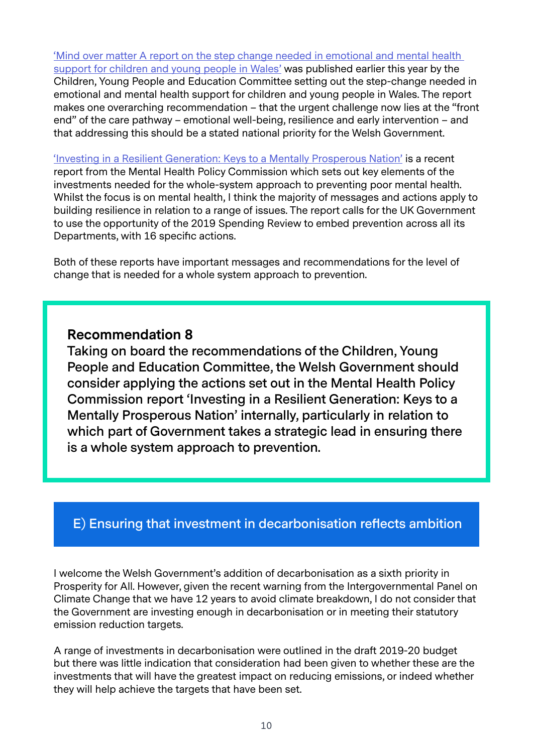['Mind over matter A report on the step change needed in emotional and mental health](https://www.assembly.wales/laid%20documents/cr-ld11522/cr-ld11522-e.pdf)  [support for children and young people in Wales'](https://www.assembly.wales/laid%20documents/cr-ld11522/cr-ld11522-e.pdf) was published earlier this year by the Children, Young People and Education Committee setting out the step-change needed in emotional and mental health support for children and young people in Wales. The report makes one overarching recommendation – that the urgent challenge now lies at the "front end" of the care pathway – emotional well-being, resilience and early intervention – and that addressing this should be a stated national priority for the Welsh Government.

['Investing in a Resilient Generation: Keys to a Mentally Prosperous Nation'](https://www.birmingham.ac.uk/Documents/research/policycommission/Investing-in-a-Resilient-Generation-report.pdf) is a recent report from the Mental Health Policy Commission which sets out key elements of the investments needed for the whole-system approach to preventing poor mental health. Whilst the focus is on mental health, I think the majority of messages and actions apply to building resilience in relation to a range of issues. The report calls for the UK Government to use the opportunity of the 2019 Spending Review to embed prevention across all its Departments, with 16 specific actions.

Both of these reports have important messages and recommendations for the level of change that is needed for a whole system approach to prevention.

#### **Recommendation 8**

**Taking on board the recommendations of the Children, Young People and Education Committee, the Welsh Government should consider applying the actions set out in the Mental Health Policy Commission report 'Investing in a Resilient Generation: Keys to a Mentally Prosperous Nation' internally, particularly in relation to which part of Government takes a strategic lead in ensuring there is a whole system approach to prevention.** 

#### **E) Ensuring that investment in decarbonisation reflects ambition**

I welcome the Welsh Government's addition of decarbonisation as a sixth priority in Prosperity for All. However, given the recent warning from the Intergovernmental Panel on Climate Change that we have 12 years to avoid climate breakdown, I do not consider that the Government are investing enough in decarbonisation or in meeting their statutory emission reduction targets.

A range of investments in decarbonisation were outlined in the draft 2019-20 budget but there was little indication that consideration had been given to whether these are the investments that will have the greatest impact on reducing emissions, or indeed whether they will help achieve the targets that have been set.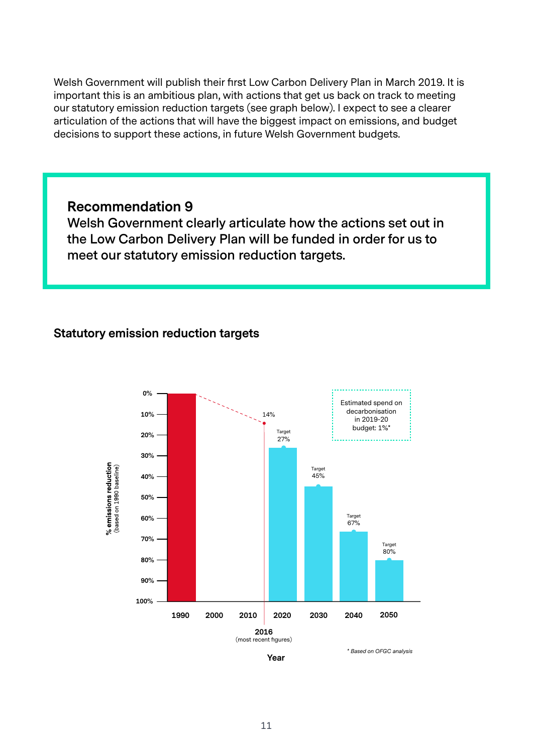Welsh Government will publish their first Low Carbon Delivery Plan in March 2019. It is important this is an ambitious plan, with actions that get us back on track to meeting our statutory emission reduction targets (see graph below). I expect to see a clearer articulation of the actions that will have the biggest impact on emissions, and budget decisions to support these actions, in future Welsh Government budgets.

#### **Recommendation 9**

**Welsh Government clearly articulate how the actions set out in the Low Carbon Delivery Plan will be funded in order for us to meet our statutory emission reduction targets.** 

#### **Statutory emission reduction targets**





*\* Based on OFGC analysis*